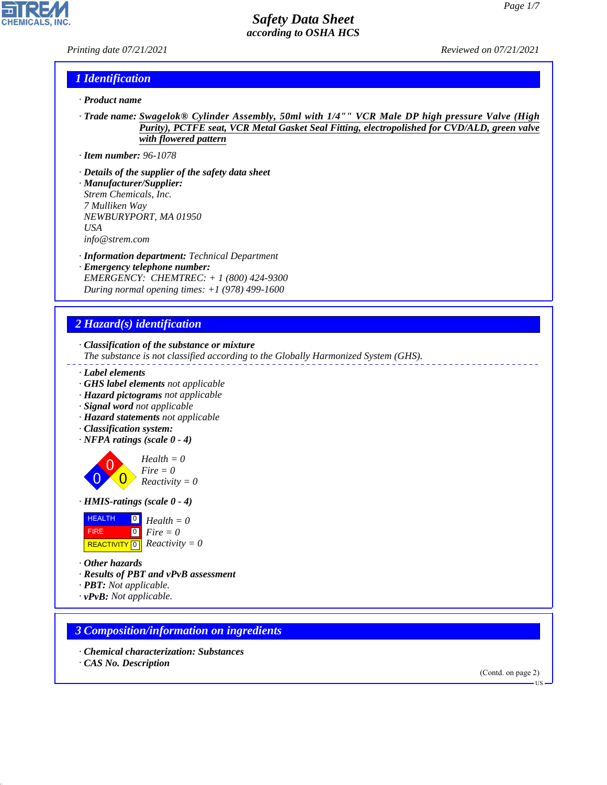*Printing date 07/21/2021 Reviewed on 07/21/2021*

**CHEMICALS, INC** 

### *1 Identification*

- *· Product name*
- *· Trade name: Swagelok® Cylinder Assembly, 50ml with 1/4"" VCR Male DP high pressure Valve (High Purity), PCTFE seat, VCR Metal Gasket Seal Fitting, electropolished for CVD/ALD, green valve with flowered pattern*
- *· Item number: 96-1078*
- *· Details of the supplier of the safety data sheet*
- *· Manufacturer/Supplier: Strem Chemicals, Inc. 7 Mulliken Way NEWBURYPORT, MA 01950 USA info@strem.com*
- *· Information department: Technical Department*
- *· Emergency telephone number: EMERGENCY: CHEMTREC: + 1 (800) 424-9300 During normal opening times: +1 (978) 499-1600*

## *2 Hazard(s) identification*

*· Classification of the substance or mixture*

- *The substance is not classified according to the Globally Harmonized System (GHS).*
- *· Label elements*
- *· GHS label elements not applicable*
- *· Hazard pictograms not applicable*
- *· Signal word not applicable*
- *· Hazard statements not applicable*
- *· Classification system:*
- *· NFPA ratings (scale 0 4)*

0 0  $\overline{\mathbf{0}}$ *Health = 0 Fire = 0 Reactivity = 0*

*· HMIS-ratings (scale 0 - 4)*

| <b>HEALTH</b> | $\begin{bmatrix} 0 \\ H \end{bmatrix}$ Health = 0 |
|---------------|---------------------------------------------------|
| <b>FIRE</b>   | $\bullet$ Fire = 0                                |
|               | REACTIVITY $\boxed{0}$ <i>Reactivity</i> = 0      |

*· Other hazards*

44.1.1

- *· Results of PBT and vPvB assessment*
- *· PBT: Not applicable.*
- *· vPvB: Not applicable.*

### *3 Composition/information on ingredients*

*· Chemical characterization: Substances · CAS No. Description*

(Contd. on page 2)

US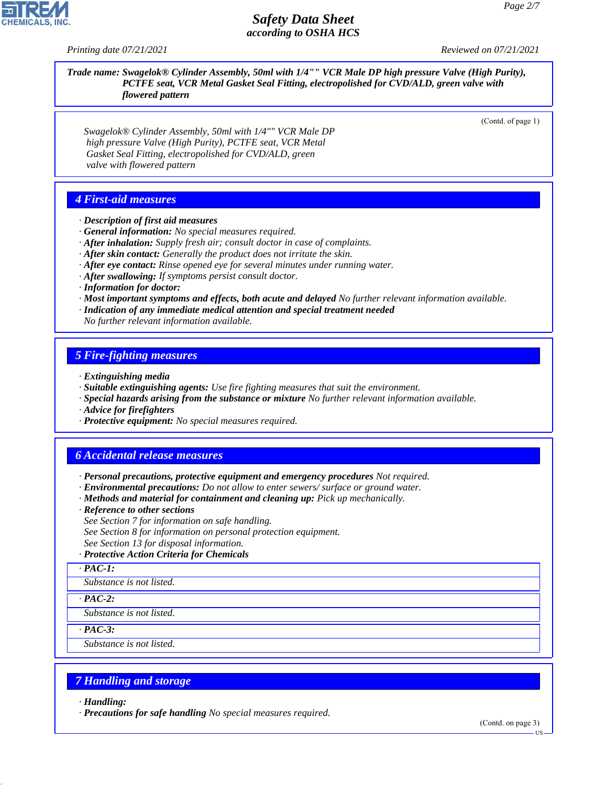*Printing date 07/21/2021 Reviewed on 07/21/2021*

*Trade name: Swagelok® Cylinder Assembly, 50ml with 1/4"" VCR Male DP high pressure Valve (High Purity), PCTFE seat, VCR Metal Gasket Seal Fitting, electropolished for CVD/ALD, green valve with flowered pattern*

(Contd. of page 1)

*Swagelok® Cylinder Assembly, 50ml with 1/4"" VCR Male DP high pressure Valve (High Purity), PCTFE seat, VCR Metal Gasket Seal Fitting, electropolished for CVD/ALD, green valve with flowered pattern*

# *4 First-aid measures*

*· Description of first aid measures*

*· General information: No special measures required.*

*· After inhalation: Supply fresh air; consult doctor in case of complaints.*

- *· After skin contact: Generally the product does not irritate the skin.*
- *· After eye contact: Rinse opened eye for several minutes under running water.*
- *· After swallowing: If symptoms persist consult doctor.*

*· Information for doctor:*

- *· Most important symptoms and effects, both acute and delayed No further relevant information available.*
- *· Indication of any immediate medical attention and special treatment needed*

*No further relevant information available.*

#### *5 Fire-fighting measures*

- *· Extinguishing media*
- *· Suitable extinguishing agents: Use fire fighting measures that suit the environment.*
- *· Special hazards arising from the substance or mixture No further relevant information available.*
- *· Advice for firefighters*
- *· Protective equipment: No special measures required.*

### *6 Accidental release measures*

- *· Personal precautions, protective equipment and emergency procedures Not required.*
- *· Environmental precautions: Do not allow to enter sewers/ surface or ground water.*
- *· Methods and material for containment and cleaning up: Pick up mechanically.*
- *· Reference to other sections*
- *See Section 7 for information on safe handling.*
- *See Section 8 for information on personal protection equipment.*
- *See Section 13 for disposal information.*
- *· Protective Action Criteria for Chemicals*
- *· PAC-1:*

*Substance is not listed.*

*· PAC-2:*

*Substance is not listed.*

*· PAC-3:*

*Substance is not listed.*

## *7 Handling and storage*

*· Handling:*

44.1.1

*· Precautions for safe handling No special measures required.*

(Contd. on page 3)

US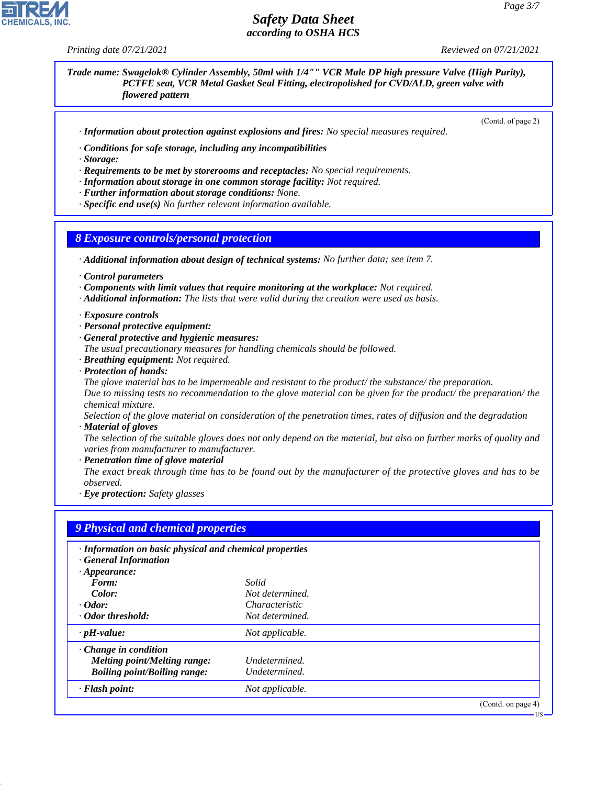*Printing date 07/21/2021 Reviewed on 07/21/2021*

#### *Trade name: Swagelok® Cylinder Assembly, 50ml with 1/4"" VCR Male DP high pressure Valve (High Purity), PCTFE seat, VCR Metal Gasket Seal Fitting, electropolished for CVD/ALD, green valve with flowered pattern*

(Contd. of page 2)

US

*· Information about protection against explosions and fires: No special measures required.*

*· Conditions for safe storage, including any incompatibilities*

*· Storage:*

- *· Requirements to be met by storerooms and receptacles: No special requirements.*
- *· Information about storage in one common storage facility: Not required.*

*· Further information about storage conditions: None.*

*· Specific end use(s) No further relevant information available.*

#### *8 Exposure controls/personal protection*

*· Additional information about design of technical systems: No further data; see item 7.*

- *· Control parameters*
- *· Components with limit values that require monitoring at the workplace: Not required.*
- *· Additional information: The lists that were valid during the creation were used as basis.*

*· Exposure controls*

- *· Personal protective equipment:*
- *· General protective and hygienic measures:*
- *The usual precautionary measures for handling chemicals should be followed.*
- *· Breathing equipment: Not required.*
- *· Protection of hands:*

*The glove material has to be impermeable and resistant to the product/ the substance/ the preparation. Due to missing tests no recommendation to the glove material can be given for the product/ the preparation/ the chemical mixture.*

*Selection of the glove material on consideration of the penetration times, rates of diffusion and the degradation · Material of gloves*

*The selection of the suitable gloves does not only depend on the material, but also on further marks of quality and varies from manufacturer to manufacturer.*

- *· Penetration time of glove material*
- *The exact break through time has to be found out by the manufacturer of the protective gloves and has to be observed.*

*· Eye protection: Safety glasses*

| · Information on basic physical and chemical properties<br><b>General Information</b> |                 |                    |
|---------------------------------------------------------------------------------------|-----------------|--------------------|
| $\cdot$ Appearance:<br>Form:                                                          | Solid           |                    |
| Color:                                                                                | Not determined. |                    |
| $\cdot$ Odor:                                                                         | Characteristic  |                    |
| · Odor threshold:                                                                     | Not determined. |                    |
| $\cdot$ pH-value:                                                                     | Not applicable. |                    |
| $\cdot$ Change in condition                                                           |                 |                    |
| Melting point/Melting range:                                                          | Undetermined.   |                    |
| <b>Boiling point/Boiling range:</b>                                                   | Undetermined.   |                    |
| · Flash point:                                                                        | Not applicable. |                    |
|                                                                                       |                 | (Contd. on page 4) |



44.1.1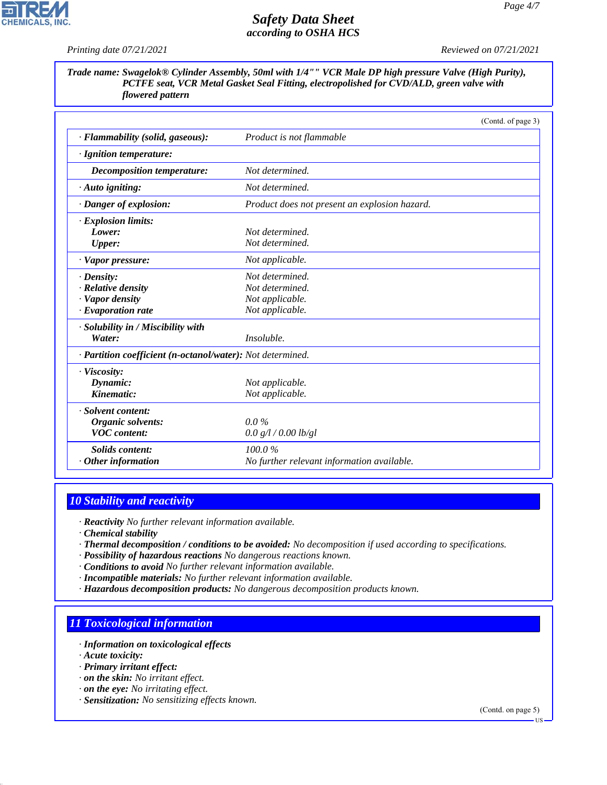*Page 4/7*

*Printing date 07/21/2021 Reviewed on 07/21/2021*

*Trade name: Swagelok® Cylinder Assembly, 50ml with 1/4"" VCR Male DP high pressure Valve (High Purity), PCTFE seat, VCR Metal Gasket Seal Fitting, electropolished for CVD/ALD, green valve with flowered pattern*

|                                                            | (Contd. of page 3)                            |  |
|------------------------------------------------------------|-----------------------------------------------|--|
| · Flammability (solid, gaseous):                           | Product is not flammable                      |  |
| · Ignition temperature:                                    |                                               |  |
| Decomposition temperature:                                 | Not determined.                               |  |
| $\cdot$ Auto igniting:                                     | Not determined.                               |  |
| · Danger of explosion:                                     | Product does not present an explosion hazard. |  |
| · Explosion limits:                                        |                                               |  |
| Lower:                                                     | Not determined.                               |  |
| <b>Upper:</b>                                              | Not determined.                               |  |
| · Vapor pressure:                                          | Not applicable.                               |  |
| $\cdot$ Density:                                           | Not determined.                               |  |
| $\cdot$ Relative density                                   | Not determined.                               |  |
| · Vapor density                                            | Not applicable.                               |  |
| $\cdot$ Evaporation rate                                   | Not applicable.                               |  |
| · Solubility in / Miscibility with                         |                                               |  |
| Water:                                                     | Insoluble.                                    |  |
| · Partition coefficient (n-octanol/water): Not determined. |                                               |  |
| · Viscosity:                                               |                                               |  |
| Dynamic:                                                   | Not applicable.                               |  |
| Kinematic:                                                 | Not applicable.                               |  |
| · Solvent content:                                         |                                               |  |
| Organic solvents:                                          | $0.0\%$                                       |  |
| <b>VOC</b> content:                                        | 0.0 g/l / 0.00 lb/gl                          |  |
| <b>Solids content:</b>                                     | 100.0%                                        |  |
| $\cdot$ Other information                                  | No further relevant information available.    |  |

# *10 Stability and reactivity*

*· Reactivity No further relevant information available.*

- *· Chemical stability*
- *· Thermal decomposition / conditions to be avoided: No decomposition if used according to specifications.*
- *· Possibility of hazardous reactions No dangerous reactions known.*
- *· Conditions to avoid No further relevant information available.*
- *· Incompatible materials: No further relevant information available.*
- *· Hazardous decomposition products: No dangerous decomposition products known.*

# *11 Toxicological information*

- *· Information on toxicological effects*
- *· Acute toxicity:*

44.1.1

- *· Primary irritant effect:*
- *· on the skin: No irritant effect.*
- *· on the eye: No irritating effect.*
- *· Sensitization: No sensitizing effects known.*

(Contd. on page 5)

US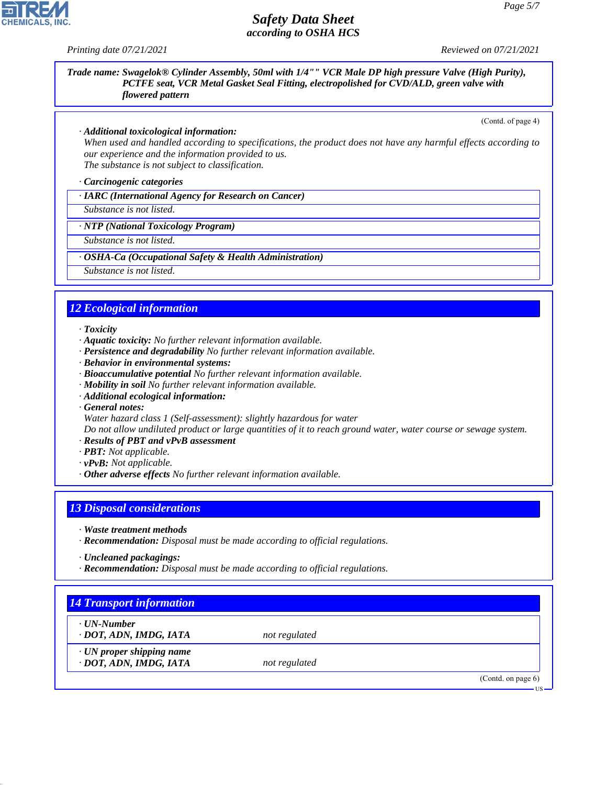

#### *Trade name: Swagelok® Cylinder Assembly, 50ml with 1/4"" VCR Male DP high pressure Valve (High Purity), PCTFE seat, VCR Metal Gasket Seal Fitting, electropolished for CVD/ALD, green valve with flowered pattern*

(Contd. of page 4)

#### *· Additional toxicological information:*

*When used and handled according to specifications, the product does not have any harmful effects according to our experience and the information provided to us. The substance is not subject to classification.*

*· Carcinogenic categories*

#### *· IARC (International Agency for Research on Cancer)*

*Substance is not listed.*

#### *· NTP (National Toxicology Program)*

*Substance is not listed.*

#### *· OSHA-Ca (Occupational Safety & Health Administration)*

*Substance is not listed.*

### *12 Ecological information*

#### *· Toxicity*

- *· Aquatic toxicity: No further relevant information available.*
- *· Persistence and degradability No further relevant information available.*
- *· Behavior in environmental systems:*
- *· Bioaccumulative potential No further relevant information available.*
- *· Mobility in soil No further relevant information available.*
- *· Additional ecological information:*
- *· General notes:*
- *Water hazard class 1 (Self-assessment): slightly hazardous for water*

*Do not allow undiluted product or large quantities of it to reach ground water, water course or sewage system.*

- *· Results of PBT and vPvB assessment*
- *· PBT: Not applicable.*
- *· vPvB: Not applicable.*
- *· Other adverse effects No further relevant information available.*

### *13 Disposal considerations*

- *· Waste treatment methods*
- *· Recommendation: Disposal must be made according to official regulations.*
- *· Uncleaned packagings:*

44.1.1

*· Recommendation: Disposal must be made according to official regulations.*

| $\cdot$ UN-Number               |               |  |
|---------------------------------|---------------|--|
| · DOT, ADN, IMDG, IATA          | not regulated |  |
| $\cdot$ UN proper shipping name |               |  |
| · DOT, ADN, IMDG, IATA          | not regulated |  |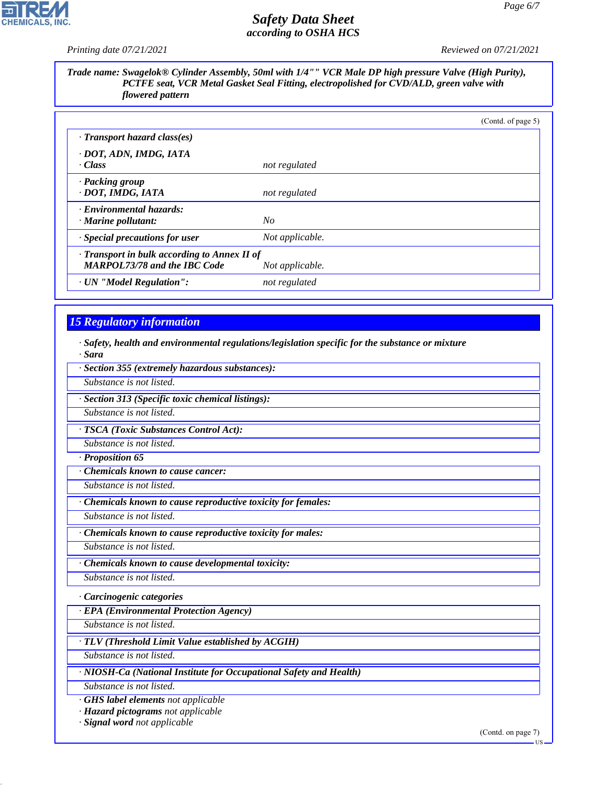*Printing date 07/21/2021 Reviewed on 07/21/2021*

P

CHEMICALS, INC.

*Trade name: Swagelok® Cylinder Assembly, 50ml with 1/4"" VCR Male DP high pressure Valve (High Purity), PCTFE seat, VCR Metal Gasket Seal Fitting, electropolished for CVD/ALD, green valve with flowered pattern*

|                                                                                           |                 | (Contd. of page 5) |
|-------------------------------------------------------------------------------------------|-----------------|--------------------|
| · Transport hazard class(es)                                                              |                 |                    |
| · DOT, ADN, IMDG, IATA<br>· Class                                                         | not regulated   |                    |
| · Packing group<br>· DOT, IMDG, IATA                                                      | not regulated   |                    |
| · Environmental hazards:<br>· Marine pollutant:                                           | No              |                    |
| · Special precautions for user                                                            | Not applicable. |                    |
| $\cdot$ Transport in bulk according to Annex II of<br><b>MARPOL73/78 and the IBC Code</b> | Not applicable. |                    |
| · UN "Model Regulation":                                                                  | not regulated   |                    |

# *15 Regulatory information*

44.1.1

*· Safety, health and environmental regulations/legislation specific for the substance or mixture · Sara*

| Substance is not listed.                                           |                    |
|--------------------------------------------------------------------|--------------------|
| Section 313 (Specific toxic chemical listings):                    |                    |
| Substance is not listed.                                           |                    |
| · TSCA (Toxic Substances Control Act):                             |                    |
| Substance is not listed.                                           |                    |
| · Proposition 65                                                   |                    |
| <b>Chemicals known to cause cancer:</b>                            |                    |
| Substance is not listed.                                           |                    |
| · Chemicals known to cause reproductive toxicity for females:      |                    |
| Substance is not listed.                                           |                    |
| · Chemicals known to cause reproductive toxicity for males:        |                    |
| Substance is not listed.                                           |                    |
| · Chemicals known to cause developmental toxicity:                 |                    |
| Substance is not listed.                                           |                    |
| · Carcinogenic categories                                          |                    |
| · EPA (Environmental Protection Agency)                            |                    |
| Substance is not listed.                                           |                    |
| TLV (Threshold Limit Value established by ACGIH)                   |                    |
| Substance is not listed.                                           |                    |
| · NIOSH-Ca (National Institute for Occupational Safety and Health) |                    |
| Substance is not listed.                                           |                    |
| · GHS label elements not applicable                                |                    |
| · Hazard pictograms not applicable                                 |                    |
| · Signal word not applicable                                       | (Contd. on page 7) |